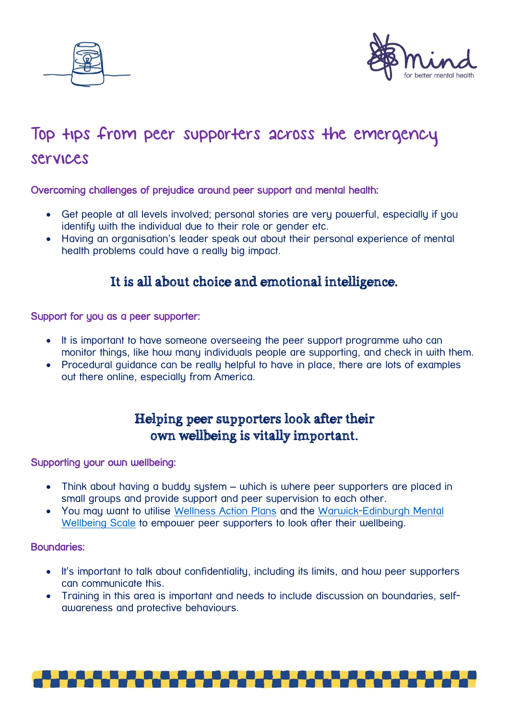



# Top tips from peer supporters across the emergency services

### Overcoming challenges of prejudice around peer support and mental health:

- Get people at all levels involved; personal stories are very powerful, especially if you identify with the individual due to their role or gender etc.
- Having an organisation's leader speak out about their personal experience of mental health problems could have a really big impact.

## It is all about choice and emotional intelligence.

#### Support for you as a peer supporter:

- It is important to have someone overseeing the peer support programme who can monitor things, like how many individuals people are supporting, and check in with them.
- Procedural guidance can be really helpful to have in place, there are lots of examples out there online, especially from America.

## Helping peer supporters look after their own wellbeing is vitally important.

#### Supporting your own wellbeing:

- Think about having a buddy system which is where peer supporters are placed in small groups and provide support and peer supervision to each other.
- You may want to utilise [Wellness Action Plans](https://www.mind.org.uk/workplace/mental-health-at-work/taking-care-of-your-staff/employer-resources/wellness-action-plan-download/) and the [Warwick-Edinburgh Mental](https://warwick.ac.uk/fac/med/research/platform/wemwbs/)  [Wellbeing Scale](https://warwick.ac.uk/fac/med/research/platform/wemwbs/) to empower peer supporters to look after their wellbeing.

#### Boundaries:

- It's important to talk about confidentiality, including its limits, and how peer supporters can communicate this.
- Training in this area is important and needs to include discussion on boundaries, selfawareness and protective behaviours.